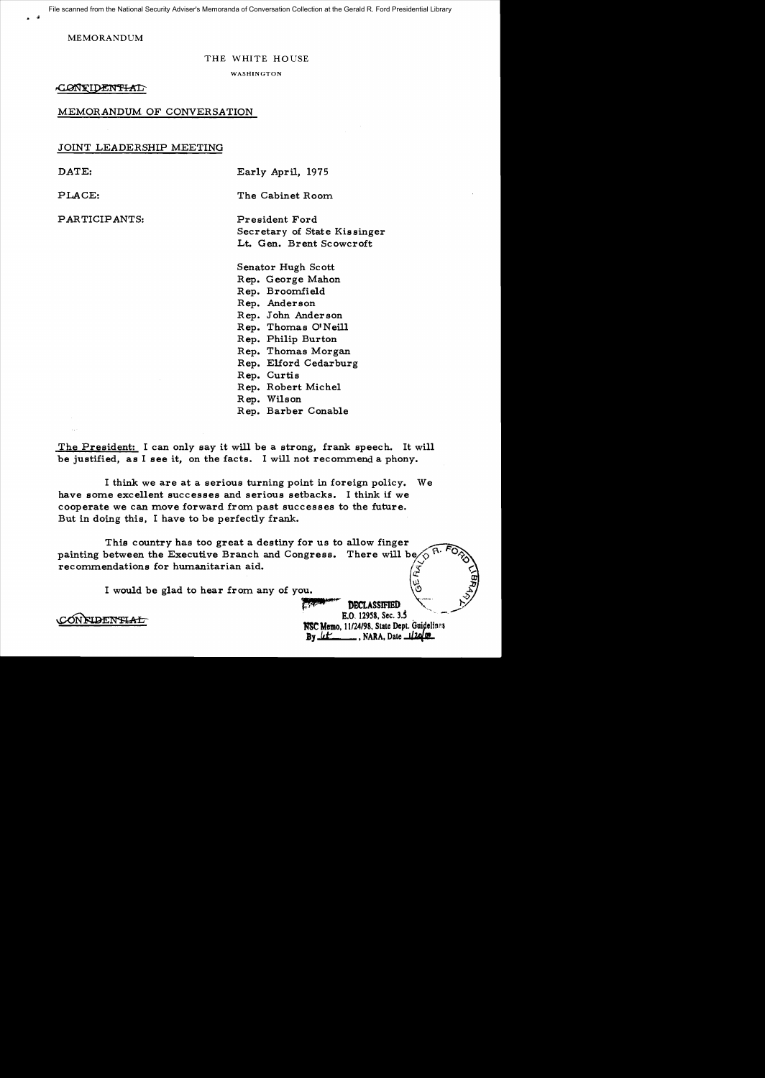File scanned from the National Security Adviser's Memoranda of Conversation Collection at the Gerald R. Ford Presidential Library

MEMORANDUM

#### THE WHITE HOUSE

WASHINGTON

CONTIDENTIAD

## MEMORANDUM OF CONVERSATION

### JOINT LEADERSHIP MEETING

.. .,

PARTICIPANTS: President Ford

DATE: Early April, 1975

PLACE: The Cabinet Room

Secretary of State Kissinger Lt. Gen. Brent Scowcroft

Senator Hugh Scott Rep. George Mahon Rep. Broomfield Rep. Anderson Rep. John Anderson Rep. Thomas OINeill Rep. Philip Burton Rep. Thomas Morgan Rep. Elford Cedarburg Rep. Curtis Rep. Robert Michel Rep. Wilson Rep. Barber Conable

The President: I can only say it will be a strong, frank speech. It will be justified, as I see it, on the facts. I will not recommend a phony.

I think we are at a serious turning point in foreign policy. We have some excellent successes and serious setbacks. I think if we cooperate we can move forward from past successes to the future. But in doing this, I have to be perfectly frank.

This country has too great a destiny for us to allow finger painting between the Executive Branch and Congress. There will be ~ recommendations for humanitarian aid.

I would be glad to hear from any of you.

**DBCLASSIFIED** IW, 12958. Sec. *3.S*  **MSC Memo, 11/24/98, State Dept. Guidelines**<br>**By** *ut i* **f**, NARA, Date *il***20** 00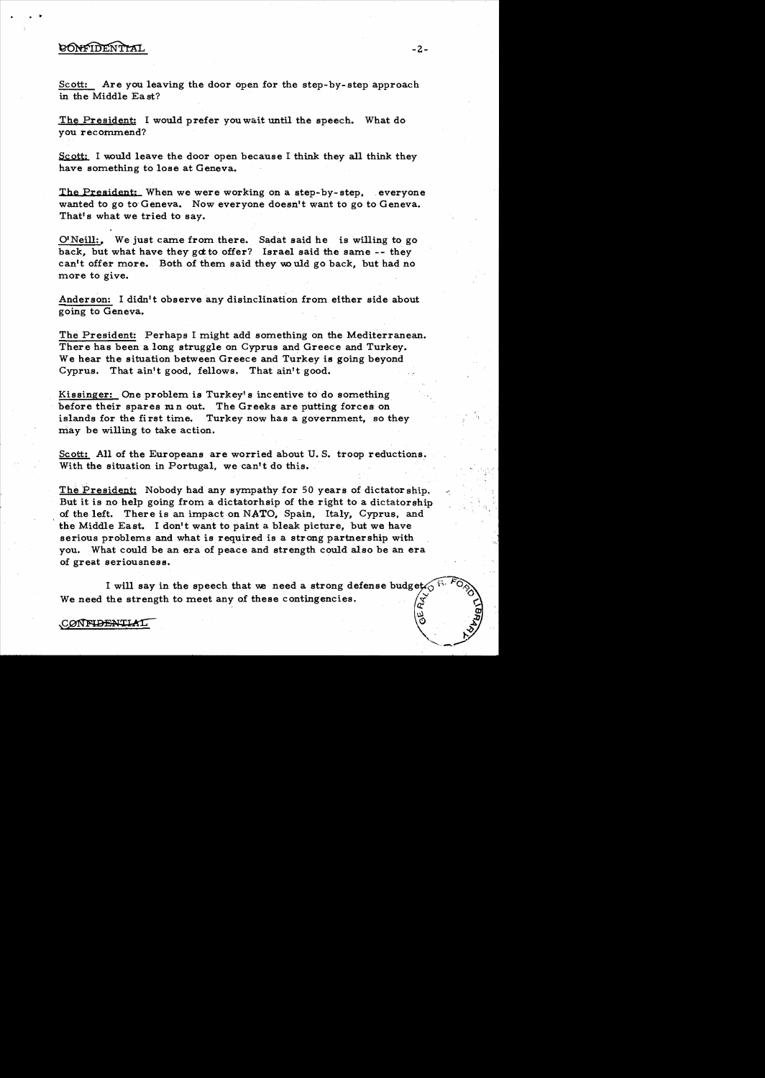# CONFIDENTIAL

· -.

Scott: Are you leaving the door open for the step-by-step approach in the Middle Ea st?

The President: I would prefer you wait until the speech. What do you recommend?

Scott: I would leave the door open because I think they all think they have something to lose at Geneva.

The President: When we were working on a step-by-step, everyone wanted to go to Geneva. Now everyone doesn't want to go to Geneva. That's what we tried to say.

O'Neill:, We just came from there. Sadat said he is willing to go back, but what have they got to offer? Israel said the same  $-$ - they can't offer more. Both of them said they would go back, but had no more to give.

Anderson: I didn't observe any disinclination from either side about going to Geneva.

The President: Perhaps I might add something on the Mediterranean. There has been a long struggle on Cyprus and Greece and Turkey. We hear the situation between Greece and Turkey is going beyond Cyprus. That ain't good, fellows. That ain't good.

Kissinger: One problem is Turkey's incentive to do something before their spares  $m n$  out. The Greeks are putting forces on islands for the first time. Turkey now has a government, so they may be willing to take action.

Scott: All of the Europeans are worried about U.S. troop reductions. With the situation in Portugal, we can't do this.

The President: Nobody had any sympathy for 50 years of dictator ship. But it is no help going from a dictatorhsip of the right to a dictatorship of the left. There is an impact on NATO, Spain, Italy, Cyprus, and the Middle East. I don't want to paint a bleak picture, but we have serious problems and what is required is a strong partnership with you. What could be an era of peace and strength could also be an era of great seriousness.

I will say in the speech that we need a strong defense budget We need the strength to meet any of these contingencies.

CONFIDENTIAL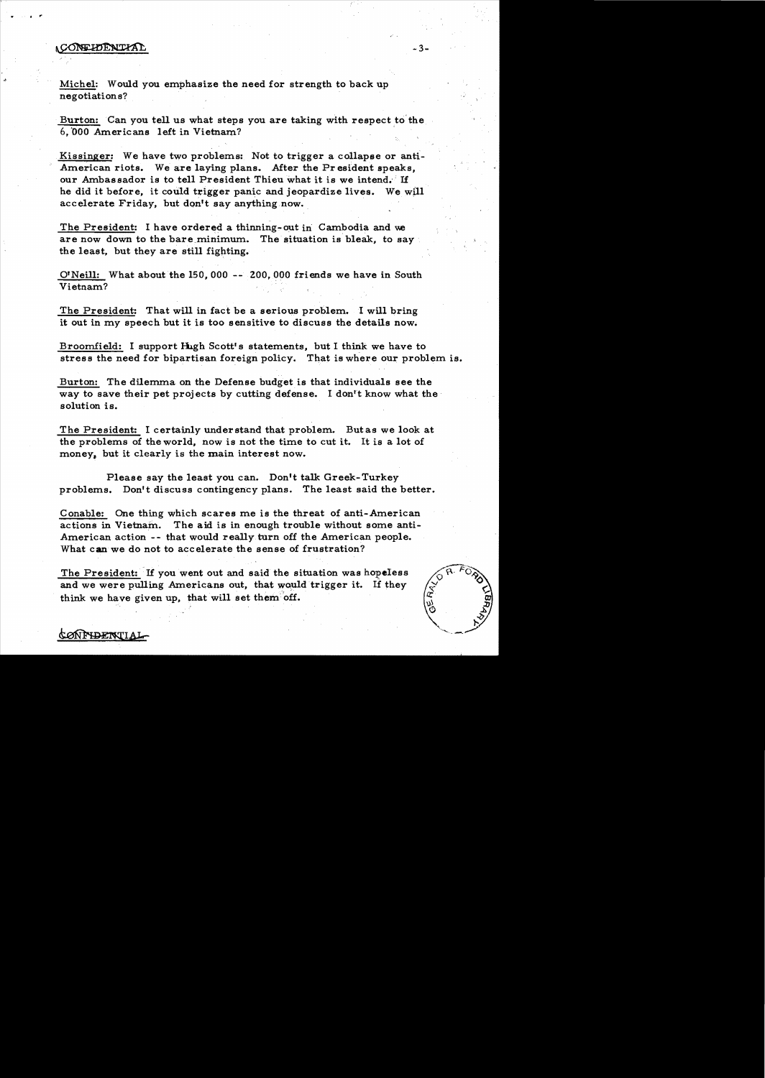## CONFIDENTIAL

*CONFIDENTIA* 

· "

> Michel: Would you emphasize the need for strength to back up negotiation s?

Burton: Can you tell us what steps you are taking with respect to the 6,'000 Americans left in Vietnam? .

Kissinger: We have two problems: Not to trigger a collapse or anti-American riots. We are laying plans. After the Pr esident speaks, our Ambassador is to tell President Thieu what it is we intend. If he did it before, it could trigger panic and jeopardize lives. We will accelerate Friday, but don't say anything now.

The President: I have ordered a thinning-out in Cambodia and we are now down to the bare minimum. The situation is bleak, to say the least, but they are still fighting.

O'Neill: What about the 150,000 -- ZOO, 000 friends we have in South Vietnam?

The President: That will in fact be a serious problem. I will bring it out in my speech but it is too sensitive to discuss the details now.

Broomfield: I support lhgh Scott's statements. but I think we have to stress the need for bipartisan foreign policy. That is where our problem is.

Burton: The dilemma on the Defense budget is that individuals see the way to save their pet projects by cutting defense. I don't know what the solution is.

The President: I certainly understand that problem. Butas we look at the problems of the world. now is not the time to cut it. It is a lot of money, but it clearly is the main interest now.

Please say the least you can. Don't talk Greek-Turkey problems. Don't discuss contingency plans. The least said the better.

Conable: One thing which scares me is the threat of anti-American actions in Vietnam. The aid is in enough trouble without some anti-American action -- that would really turn off the American people. What can we do not to accelerate the sense of frustration?

The President: If you went out and said the situation was hopeless and we were pulling Americans out, that would trigger it. If they think we have given up. that will set them off.



# $-3-$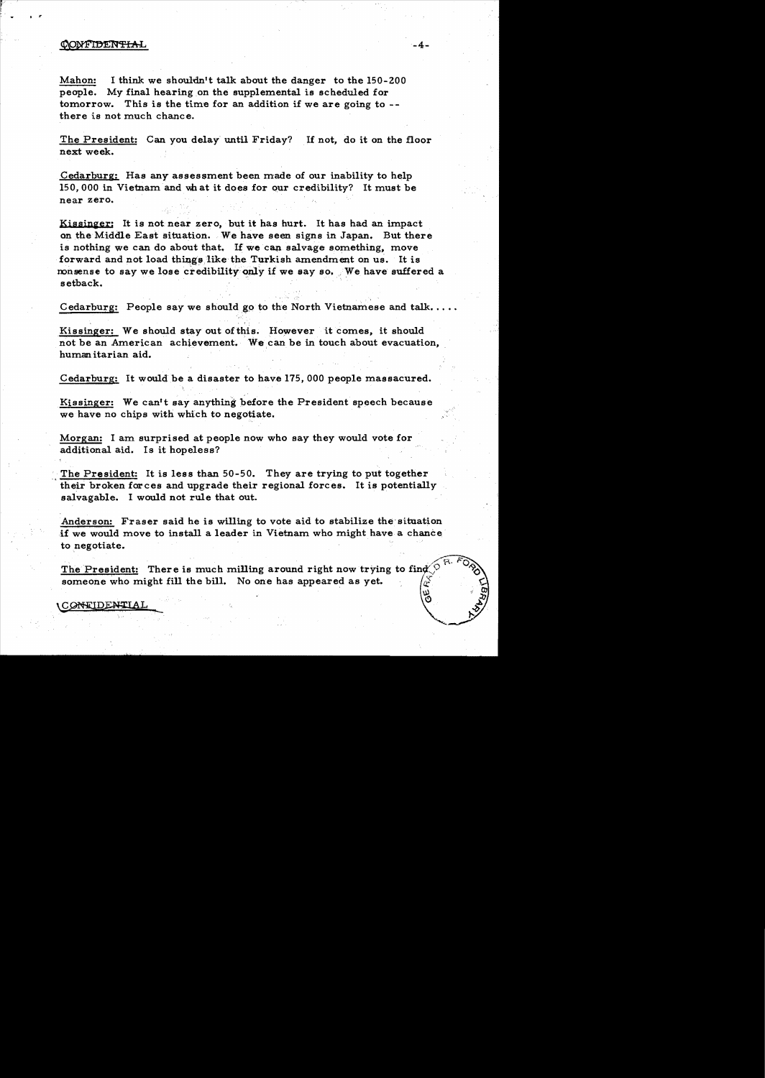#### CONFIDENTIAL

..,

*• r* 

Mahon: I think we shouldn't talk about the danger to the 150-200 people. My final hearing on the supplemental is scheduled for tomorrow. This is the time for an addition if we are going to -there is not much chance.

The President: Can you delay' until Friday? If not, do it on the floor next week.

Cedarburg: Has any assessment been made of our inability to help 150, 000 in Vietnam and what it does for our credibility? It must be near zero.

Kissinger: It is not near zero, but it has hurt. It has had an impact on the Middle East situation. We have seen signs in Japan. But there is nothing we can do about that. If we can salvage something, move forward and not load things like the Turkish amendment on us. It is nonsense to say we lose credibility only if we say so. We have suffered a setback.

Cedarburg: People say we should go to the North Vietnamese and talk....

Kissinger: We should stay out of this. However it comes, it should not be an American achievement. We can be in touch about evacuation. humanitarian aid.

Cedarburg: It would be a disaster to have 175,000 people massacured.

Kissinger: We can't say anything before the President speech because we have no chips with which to negotiate.

Morgan: I am surprised at people now who say they would vote for additional aid. Is it hopeless?

The President: It is less than 50-50. They are trying to put together their broken forces and upgrade their regional forces. It is potentially salvagable. I would not rule that out.

Anderson: Fraser said he is willing to vote aid to stabilize the'situation if we would move to install a leader in Vietnam who might have a chance to negotiate.

The President: There is much milling around right now trying to find  $\bigcirc$ someone who might fill the bill. No one has appeared as yet.  $\int_{\alpha}^{x}$ 

~ \.f~AL.\_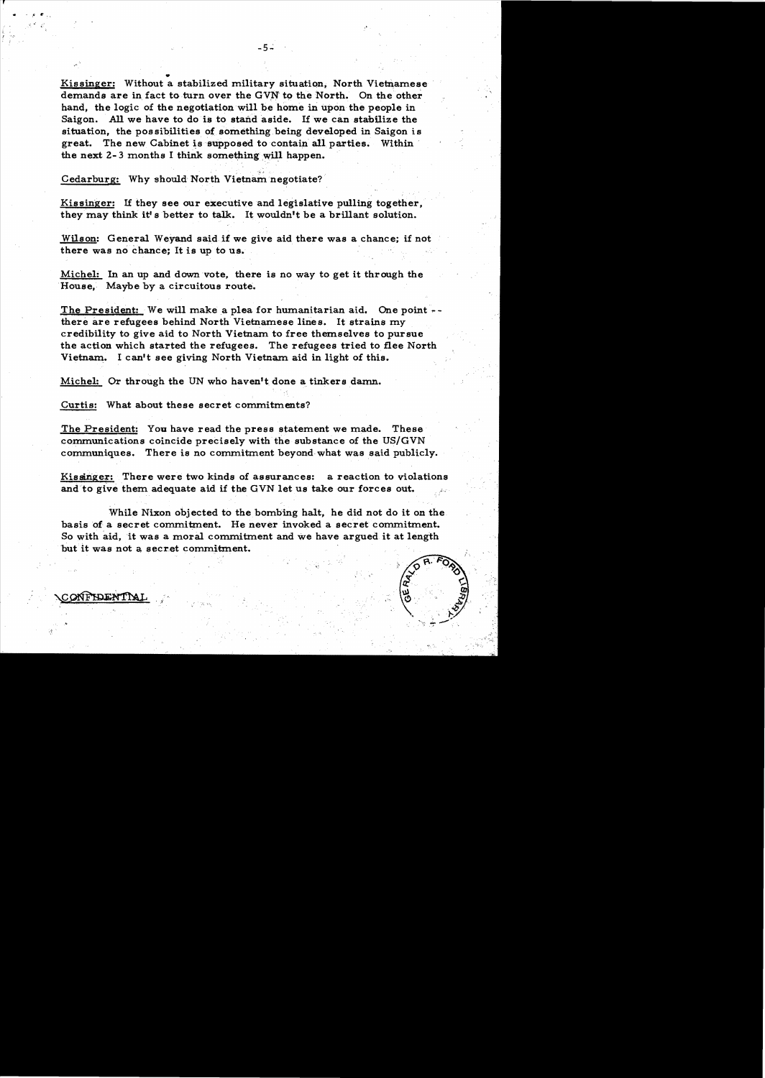Kissinger: Without a stabilized military situation. North Vietnamese demands are in fact to turn over the GVN to the North. On the other hand, the logic of the negotiation will be home in upon the people in Saigon. All we have to do is to stand aside. If we can stabilize the situation, the possibilities of something being developed in Saigon is great. The new Cabinet is supposed to contain all parties. Within the next  $2-3$  months I think something will happen.

 $-5$   $-$ 

".

Cedarburg: Why should North Vietnam negotiate?

w

Kissinger: If they see our executive and legislative pulling together, they may think it's better to talk. It wouldn't be a brillant solution.

 $Wilson:$  General Weyand said if we give aid there was a chance; if not there was no chance; It is up to us.

Michel: In an up and down vote, there is no way to get it through the House, Maybe by a circuitous route.

The President: We will make a plea for humanitarian aid. One point  $$ there are refugees behind North Vietnamese lines. It strains my credibility to give aid to North Vietnam to free themselves to pursue the action which started the refugees. The refugees tried to *Bee* North Vietnam. I can't see giving North Vietnam aid in light of this.

Michel: Or through the UN who haven't done a tinkers damn.

Curtis: What about these secret commitments?

The President: You have read the press statement we made. These communications coincide precisely with the substance of the US/GVN communiques. There is no commitment beyond what was said publicly.

Kissinger: There were two kinds of assurances: a reaction to violations and to give them adequate aid if the GVN let us take our forces out.

While Nixon objected to the bombing halt, he did not do it on the basis of a secret commitment. He never invoked a secret commitment. So with aid, it was a moral commitment and we have argued it at length but it was not a secret commitment.

'.'



ONFIDENTIAL

*. l'* ... ,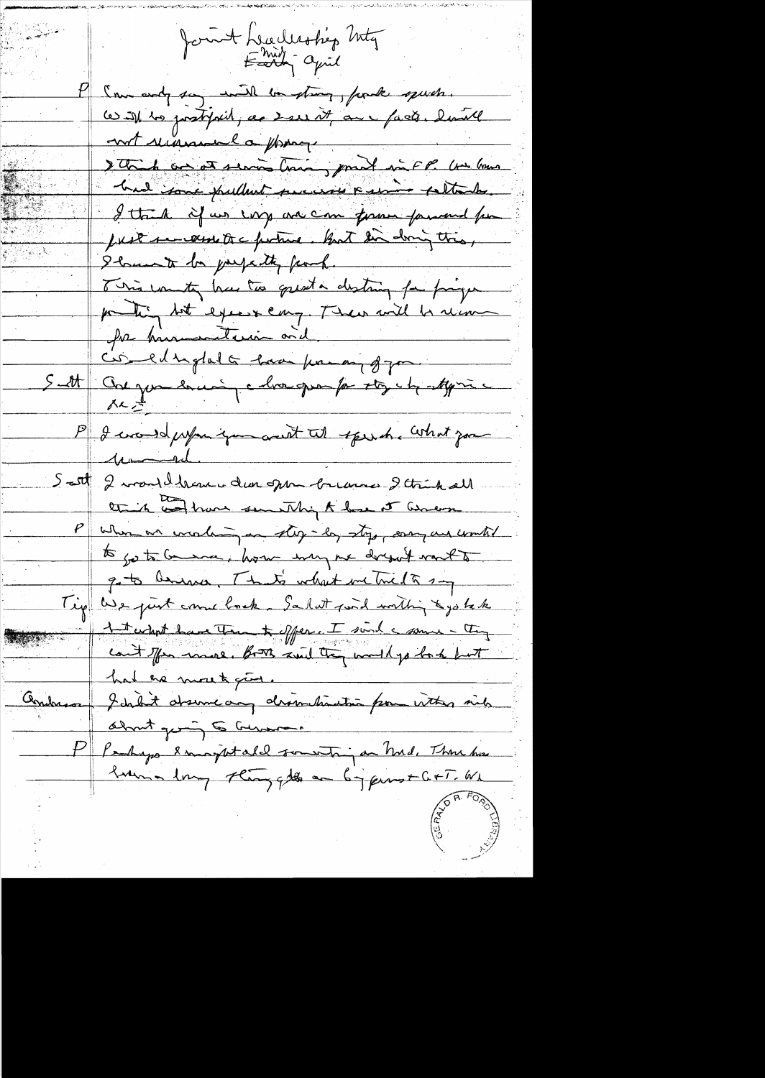fount headership Inty I'm endy say will be strong, for the speech. ce ist les postipiel, as sere it au paste. laite not renommed a ppara Dette de ce et servir time, proel in FP. Un hours had some publish success a service sellantes. I think if us every we can form forward for JUST 1- west to a fortune. But dir doing this, I have to perpetty fand. This country has to great a disting for program posting but expect cary. There will be recover for humanitarie vid 5 - et Conque en mi chargempo stych styric P I would prefer if you wish tell to get that you unid. Scott 2 mondilhement den open brennes 2 trick all this and have sending to have it amount  $\frac{\rho}{\bot}$ When an unclung on stop-lay stop, sony and wonted to go to Gramme, how my me docqu't vant to gets being That's what me trick say Tip We just come back. Salut jud within & jo tak 1 t what have Tran & offer. I sind a some - they count offen moved. Both smil they would go back but hat he most give. Andresse Johait desineaux dissurctions pour vitter sich about giving to German P Parkago langutald someting en Mil. Thru has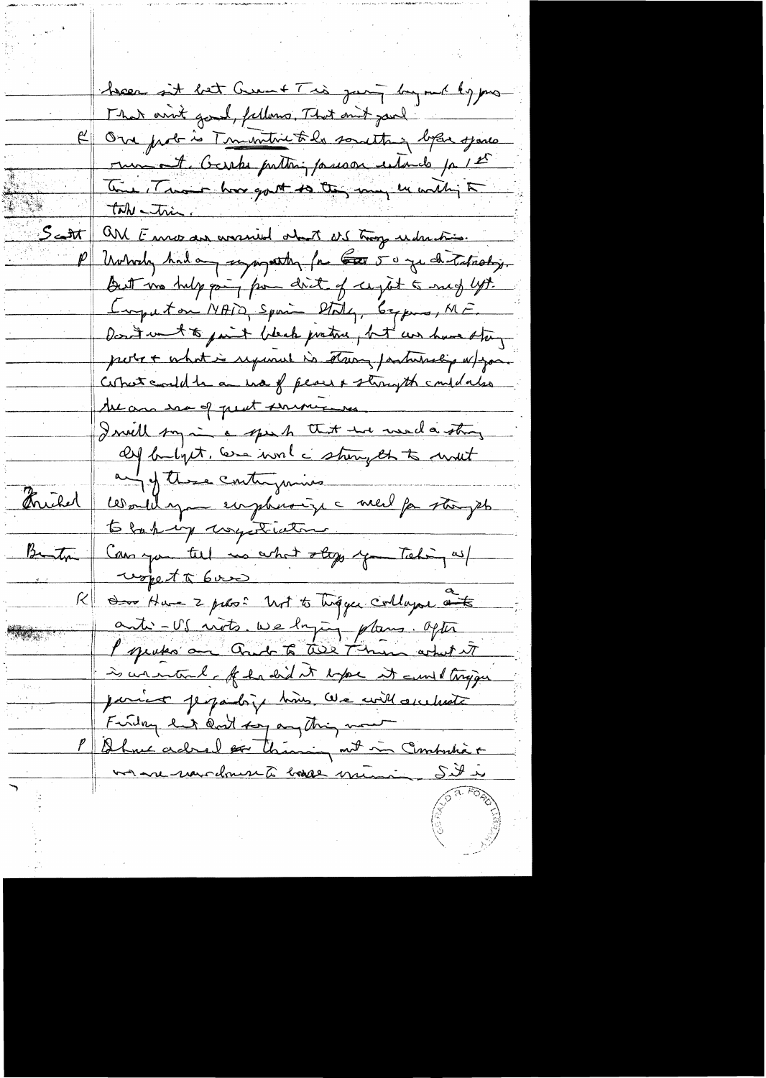been it bet Great Trò jump by me by pro That arrive good, felloms, That mit parl R One prob is Timentive to be something before sparks run et Gaste puttin passage estando pa 12° The Those hove got to they may be within to take - trie. <u>Scott</u> and Ennormous answered about art troop understimes. Universe had any supporter for the 50 yes de Tatrotry. But we help pay from drit of sught to such lyt. Imputan NAIO, Spain Staty, beyone, ME. Desvit went to just bleck pretire, but we have the poter + what is required is stairy partitionly a / you Correct could be an use of peace & strongth couldars the and save of peat serving I will say in a speak that we would string Of butyet, we won't strong that mout and of these contriguing communa empleasinge med partinget Christel to back my usysteriation Can you till us what stops you Taking as/ wored to bound du Ham 2 pours ? Ust to Tingger collager auto Ķ anti-US mots. We loging plans. Ofter l'operation avec la terre de termes artistat is warrand of hadid it expect it and tryinger parier perpaidoix hoirs avec will accelerate Finding land can't say anything more Ohne adred for themin and in Combution  $\underline{\mathit{P}}$ <u>von en marchement basse municipales</u>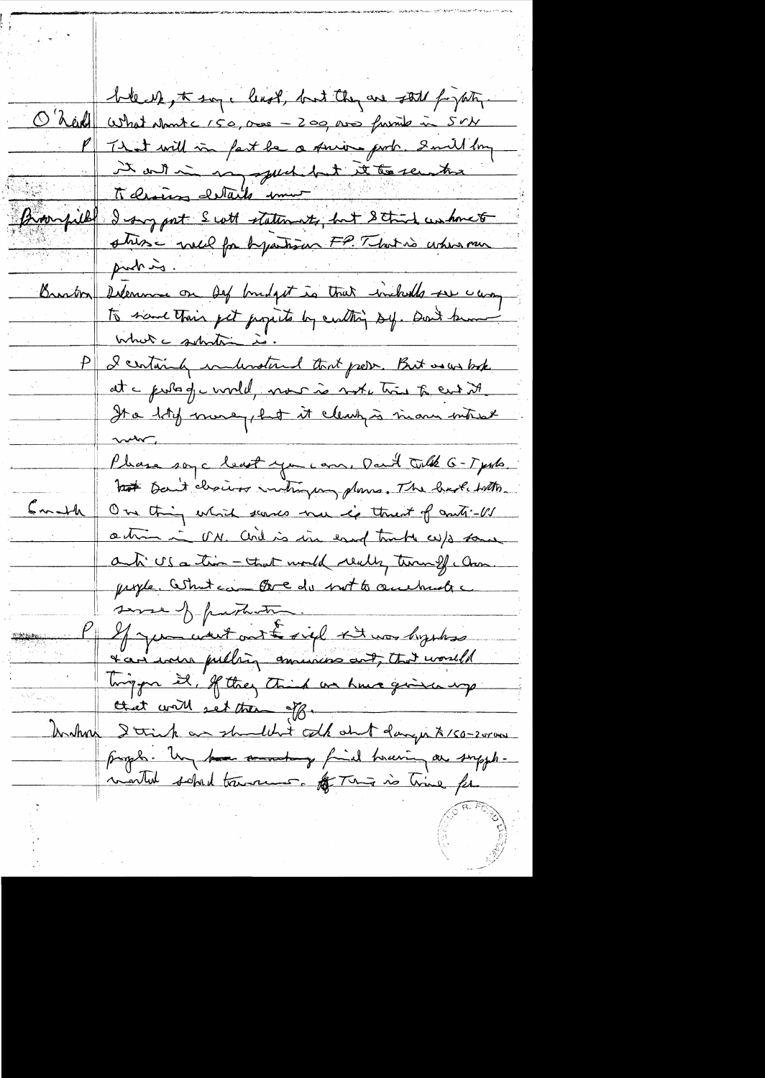bleck, to say, least, but they are still for path. O'heid what short c 150, our - 200, son furnit in Srb P That will in fact be a prior port. Smill boy It out in a pued dut le temperation Brownfield I sure port S cott statements, but Stand unhomet strise vell for bystrian FP. That is when our Braston Delemme on Def budget is that includes ser camp to save their get popula by control sy. Don't know I certainly indevoted that prever. But as us bok It a litely more plut it cleak is more interest  $\sim$ Phase soy a least you can, Dan't talk 6-Types hat Dan't chairs intrying plans. The had with Emath On this which seemes me is threat of anti-US action in U.M. and is in easy tract w/s some anti US a tim - that would really termf . Com. prople. What can three do not to accelerate some of particular My mount out fight the hyphos tan was pulling amusing out, that would Tingger il, If they think we have given up Andhou I trink an shouldn't colk and danger \$150-2000 pagel. Un have annothing find touring a supplimarked sched transment. Af This is time for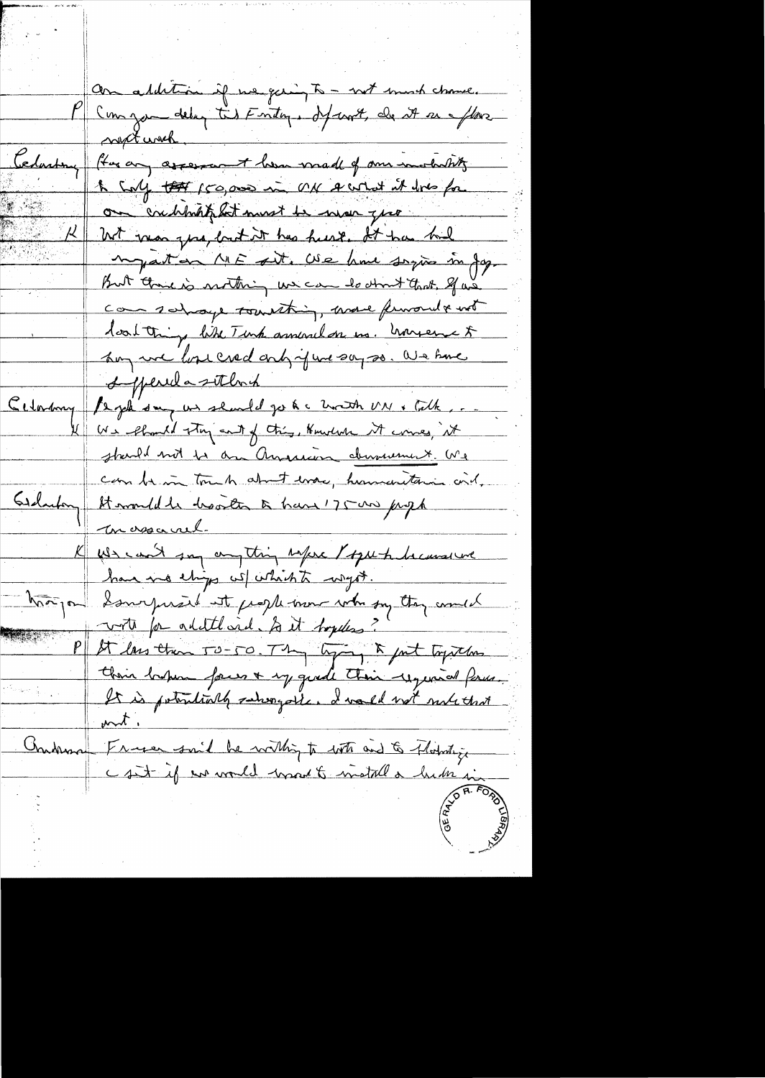an addition if we giving to - not much chance. Comgan delug tis Entry, départ, de 27 eu Mars not with. Celasting flag any assessment loss made of our installity 1 Culy to 150,000 in ON A what it does for on condition at most be more good With man que, but it has heard. It has had myaton ME sit. We have saying in Jag. But there is nothing we can do think that. If we com sahaye tourthing, were funoual and loat thing like Timp annual on us. however & hoy we love cred only your say so. We have superida sitema  $C_{\ell\ell\ell\ell\ell\ell\ell\ell\ell\ell}$ Is job say us should go to a horth MN & Cath, We should try and of this, Hundred it comes, it starle not to an American demanement. Me can be in touch about every humanitaries and. Gardenboy Stammldde hoorten à have 175 au juga massarel. We can't say anything where I speech because we have no eligo which which the hangon Samoyusid at proplement who say they could voto for addthood. In it boydes? P St lass than 50-50. They lying & fut topsthes their hapmy faces + my quade their required forms. It is potentially subsequed and not not that France suit be within to with and to Florida get Chadrman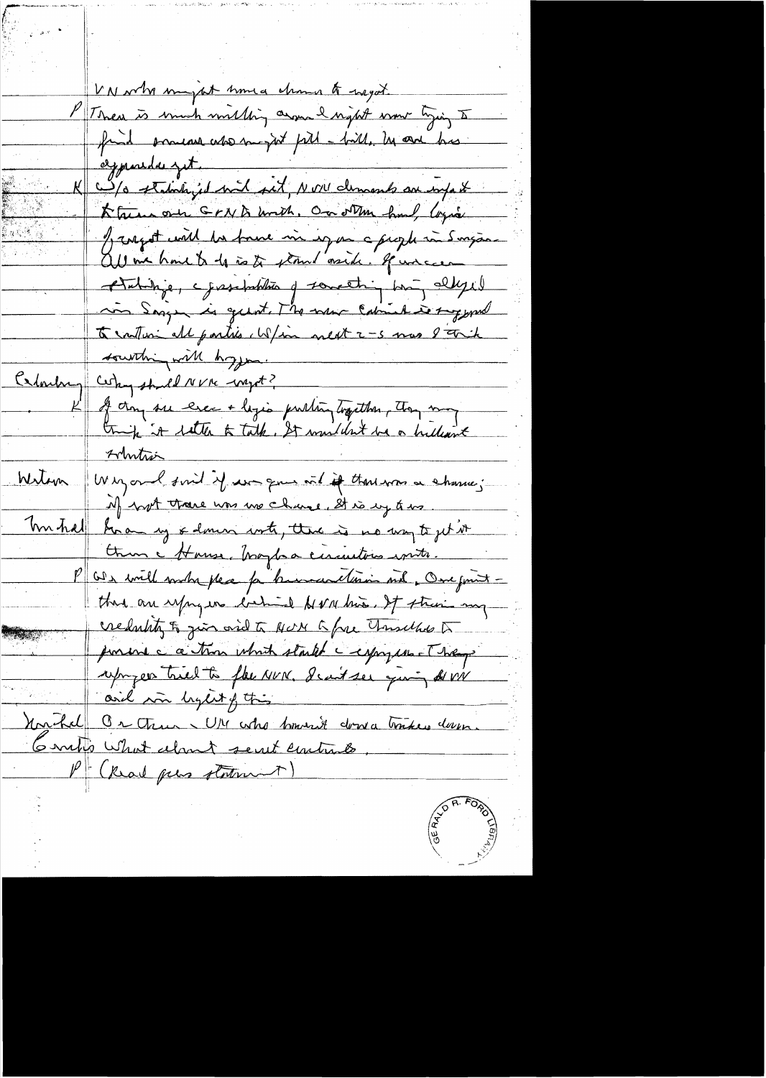VN who myst knud change to negot. PT There is much milling assured night wow tying I find promease about pill - bill, he are his aymordes get Kturn one GrNA unth, On other hand, loying I rapport with his found in expose a people in Surgan all in home to do is to stand mich. If uncer Atabilize, epissolabilità y something biog allyse in Says is guest. The main Cabinet is suggessed to contain all parties which next 2-5 mas I trick southing with hopper Calculary Certain should NVIE waget? I dans se exec + logio publing traction, they may Artution Witon Whyord find if we gue with the those a chance; if not trace was me change, It is up to us. Tom half how up & domin with, there is no way to jet it them a House, braylor circuities with. Or will when please for known artinin met. One finit that are upry in backing between it streams my credulity of give orie to NON to free Thursdhe to ponent c a time which started a capy un They reprogers tried to flee NUN. I can't see giving de viv aril in light of this Unchal Or then WM who however down tombers down. Gorto What almet sent contrato. (Read peas statement)